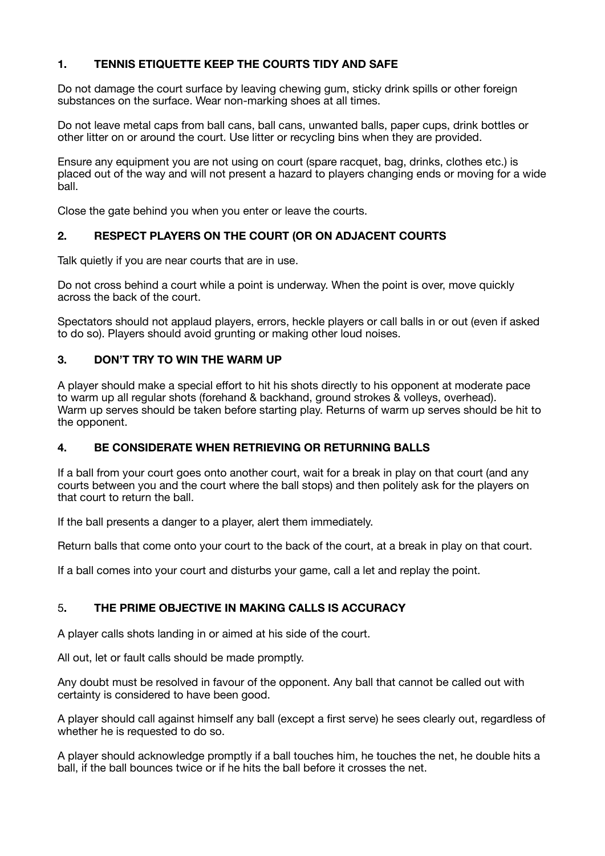#### **1. TENNIS ETIQUETTE KEEP THE COURTS TIDY AND SAFE**

Do not damage the court surface by leaving chewing gum, sticky drink spills or other foreign substances on the surface. Wear non-marking shoes at all times.

Do not leave metal caps from ball cans, ball cans, unwanted balls, paper cups, drink bottles or other litter on or around the court. Use litter or recycling bins when they are provided.

Ensure any equipment you are not using on court (spare racquet, bag, drinks, clothes etc.) is placed out of the way and will not present a hazard to players changing ends or moving for a wide ball.

Close the gate behind you when you enter or leave the courts.

#### **2. RESPECT PLAYERS ON THE COURT (OR ON ADJACENT COURTS**

Talk quietly if you are near courts that are in use.

Do not cross behind a court while a point is underway. When the point is over, move quickly across the back of the court.

Spectators should not applaud players, errors, heckle players or call balls in or out (even if asked to do so). Players should avoid grunting or making other loud noises.

#### **3. DON'T TRY TO WIN THE WARM UP**

A player should make a special effort to hit his shots directly to his opponent at moderate pace to warm up all regular shots (forehand & backhand, ground strokes & volleys, overhead). Warm up serves should be taken before starting play. Returns of warm up serves should be hit to the opponent.

#### **4. BE CONSIDERATE WHEN RETRIEVING OR RETURNING BALLS**

If a ball from your court goes onto another court, wait for a break in play on that court (and any courts between you and the court where the ball stops) and then politely ask for the players on that court to return the ball.

If the ball presents a danger to a player, alert them immediately.

Return balls that come onto your court to the back of the court, at a break in play on that court.

If a ball comes into your court and disturbs your game, call a let and replay the point.

#### 5**. THE PRIME OBJECTIVE IN MAKING CALLS IS ACCURACY**

A player calls shots landing in or aimed at his side of the court.

All out, let or fault calls should be made promptly.

Any doubt must be resolved in favour of the opponent. Any ball that cannot be called out with certainty is considered to have been good.

A player should call against himself any ball (except a first serve) he sees clearly out, regardless of whether he is requested to do so.

A player should acknowledge promptly if a ball touches him, he touches the net, he double hits a ball, if the ball bounces twice or if he hits the ball before it crosses the net.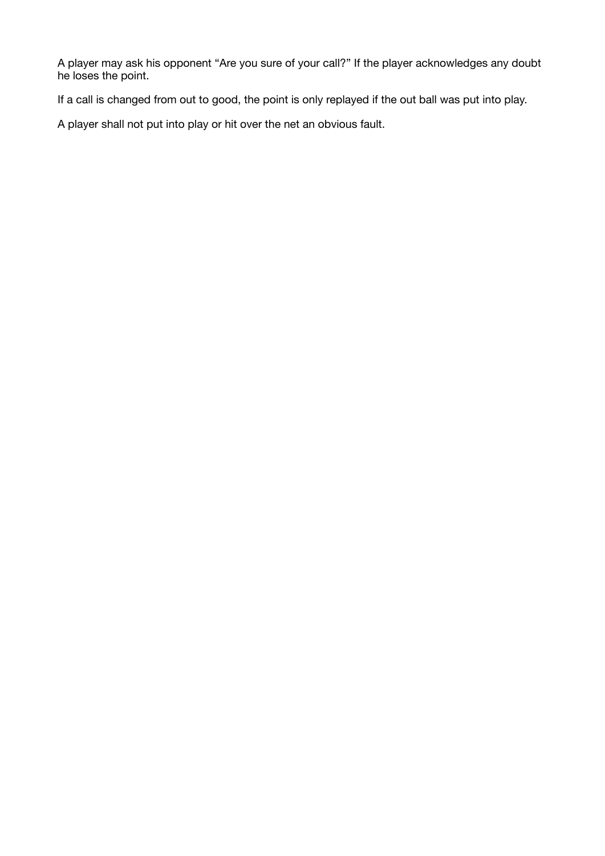A player may ask his opponent "Are you sure of your call?" If the player acknowledges any doubt he loses the point.

If a call is changed from out to good, the point is only replayed if the out ball was put into play.

A player shall not put into play or hit over the net an obvious fault.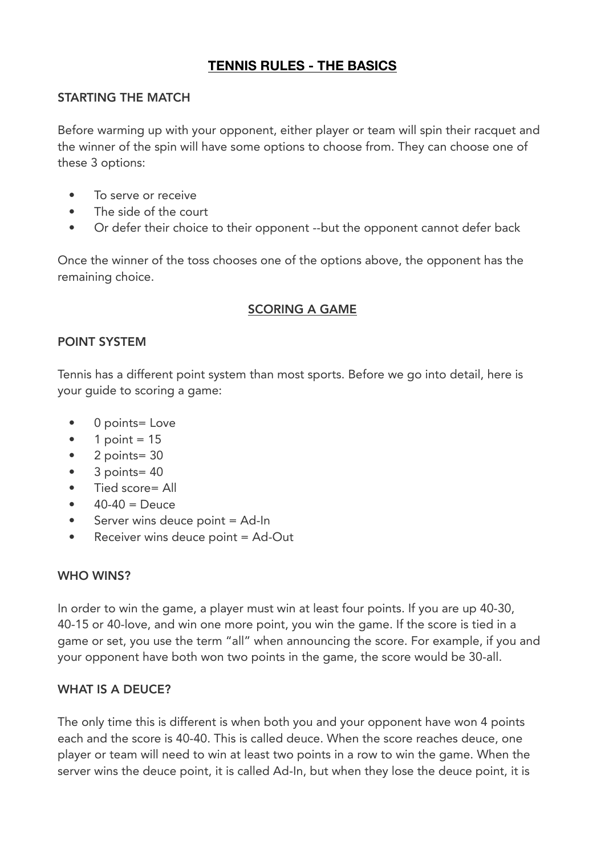# **TENNIS RULES - THE BASICS**

# STARTING THE MATCH

Before warming up with your opponent, either player or team will spin their racquet and the winner of the spin will have some options to choose from. They can choose one of these 3 options:

- To serve or receive
- The side of the court
- Or defer their choice to their opponent --but the opponent cannot defer back

Once the winner of the toss chooses one of the options above, the opponent has the remaining choice.

### SCORING A GAME

### POINT SYSTEM

Tennis has a different point system than most sports. Before we go into detail, here is your guide to scoring a game:

- 0 points= Love
- 1 point  $= 15$
- $\bullet$  2 points= 30
- 3 points= 40
- Tied score= All
- $40 40 =$  Deuce
- Server wins deuce point = Ad-In
- Receiver wins deuce point = Ad-Out

### WHO WINS?

In order to win the game, a player must win at least four points. If you are up 40-30, 40-15 or 40-love, and win one more point, you win the game. If the score is tied in a game or set, you use the term "all" when announcing the score. For example, if you and your opponent have both won two points in the game, the score would be 30-all.

# WHAT IS A DEUCE?

The only time this is different is when both you and your opponent have won 4 points each and the score is 40-40. This is called deuce. When the score reaches deuce, one player or team will need to win at least two points in a row to win the game. When the server wins the deuce point, it is called Ad-In, but when they lose the deuce point, it is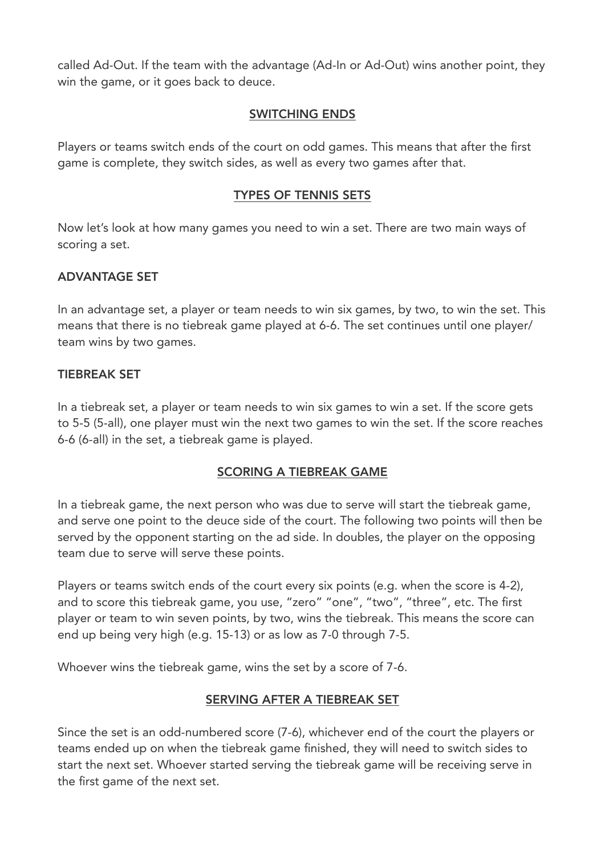called Ad-Out. If the team with the advantage (Ad-In or Ad-Out) wins another point, they win the game, or it goes back to deuce.

# SWITCHING ENDS

Players or teams switch ends of the court on odd games. This means that after the first game is complete, they switch sides, as well as every two games after that.

### TYPES OF TENNIS SETS

Now let's look at how many games you need to win a set. There are two main ways of scoring a set.

# ADVANTAGE SET

In an advantage set, a player or team needs to win six games, by two, to win the set. This means that there is no tiebreak game played at 6-6. The set continues until one player/ team wins by two games.

### TIEBREAK SET

In a tiebreak set, a player or team needs to win six games to win a set. If the score gets to 5-5 (5-all), one player must win the next two games to win the set. If the score reaches 6-6 (6-all) in the set, a tiebreak game is played.

### SCORING A TIEBREAK GAME

In a tiebreak game, the next person who was due to serve will start the tiebreak game, and serve one point to the deuce side of the court. The following two points will then be served by the opponent starting on the ad side. In doubles, the player on the opposing team due to serve will serve these points.

Players or teams switch ends of the court every six points (e.g. when the score is 4-2), and to score this tiebreak game, you use, "zero" "one", "two", "three", etc. The first player or team to win seven points, by two, wins the tiebreak. This means the score can end up being very high (e.g. 15-13) or as low as 7-0 through 7-5.

Whoever wins the tiebreak game, wins the set by a score of 7-6.

### SERVING AFTER A TIEBREAK SET

Since the set is an odd-numbered score (7-6), whichever end of the court the players or teams ended up on when the tiebreak game finished, they will need to switch sides to start the next set. Whoever started serving the tiebreak game will be receiving serve in the first game of the next set.